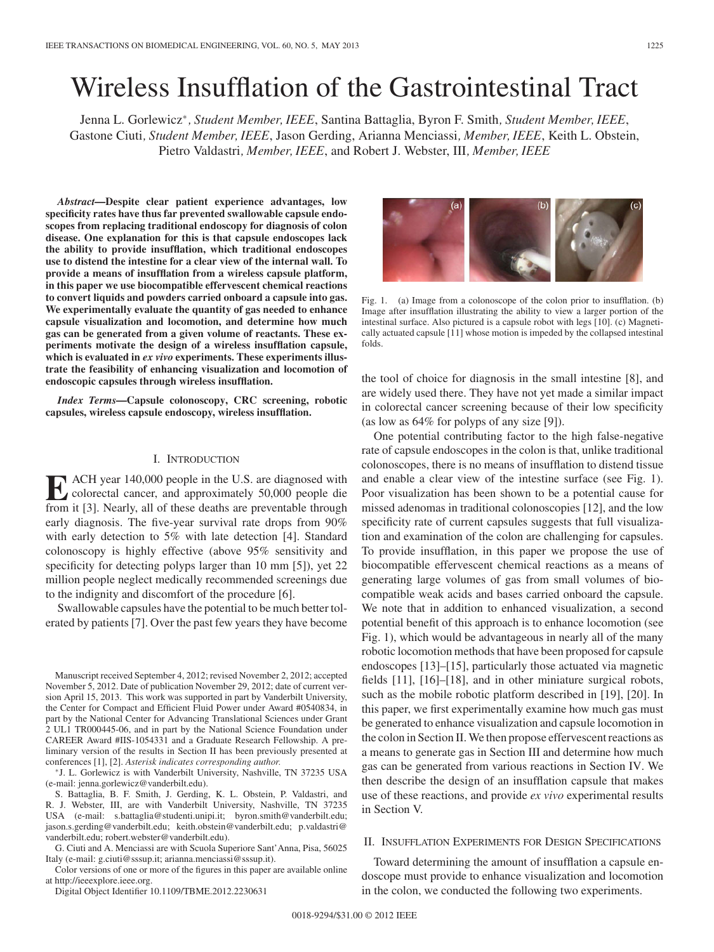# Wireless Insufflation of the Gastrointestinal Tract

Jenna L. Gorlewicz<sup>∗</sup>*, Student Member, IEEE*, Santina Battaglia, Byron F. Smith*, Student Member, IEEE*, Gastone Ciuti*, Student Member, IEEE*, Jason Gerding, Arianna Menciassi*, Member, IEEE*, Keith L. Obstein, Pietro Valdastri*, Member, IEEE*, and Robert J. Webster, III*, Member, IEEE*

*Abstract***—Despite clear patient experience advantages, low specificity rates have thus far prevented swallowable capsule endoscopes from replacing traditional endoscopy for diagnosis of colon disease. One explanation for this is that capsule endoscopes lack the ability to provide insufflation, which traditional endoscopes use to distend the intestine for a clear view of the internal wall. To provide a means of insufflation from a wireless capsule platform, in this paper we use biocompatible effervescent chemical reactions to convert liquids and powders carried onboard a capsule into gas. We experimentally evaluate the quantity of gas needed to enhance capsule visualization and locomotion, and determine how much gas can be generated from a given volume of reactants. These experiments motivate the design of a wireless insufflation capsule, which is evaluated in** *ex vivo* **experiments. These experiments illustrate the feasibility of enhancing visualization and locomotion of endoscopic capsules through wireless insufflation.**

*Index Terms***—Capsule colonoscopy, CRC screening, robotic capsules, wireless capsule endoscopy, wireless insufflation.**

## I. INTRODUCTION

**E** ACH year 140,000 people in the U.S. are diagnosed with<br>colorectal cancer, and approximately 50,000 people die<br>from it [3] Nearly all of these deaths are preventable through from it [3]. Nearly, all of these deaths are preventable through early diagnosis. The five-year survival rate drops from 90% with early detection to 5% with late detection [4]. Standard colonoscopy is highly effective (above 95% sensitivity and specificity for detecting polyps larger than 10 mm [5]), yet 22 million people neglect medically recommended screenings due to the indignity and discomfort of the procedure [6].

Swallowable capsules have the potential to be much better tolerated by patients [7]. Over the past few years they have become

Manuscript received September 4, 2012; revised November 2, 2012; accepted November 5, 2012. Date of publication November 29, 2012; date of current version April 15, 2013. This work was supported in part by Vanderbilt University, the Center for Compact and Efficient Fluid Power under Award #0540834, in part by the National Center for Advancing Translational Sciences under Grant 2 UL1 TR000445-06, and in part by the National Science Foundation under CAREER Award #IIS-1054331 and a Graduate Research Fellowship. A preliminary version of the results in Section II has been previously presented at

conferences [1], [2]. *Asterisk indicates corresponding author.* <sup>∗</sup>J. L. Gorlewicz is with Vanderbilt University, Nashville, TN 37235 USA (e-mail: jenna.gorlewicz@vanderbilt.edu).

S. Battaglia, B. F. Smith, J. Gerding, K. L. Obstein, P. Valdastri, and R. J. Webster, III, are with Vanderbilt University, Nashville, TN 37235 USA (e-mail: s.battaglia@studenti.unipi.it; byron.smith@vanderbilt.edu; jason.s.gerding@vanderbilt.edu; keith.obstein@vanderbilt.edu; p.valdastri@ vanderbilt.edu; robert.webster@vanderbilt.edu).

G. Ciuti and A. Menciassi are with Scuola Superiore Sant'Anna, Pisa, 56025 Italy (e-mail: g.ciuti@sssup.it; arianna.menciassi@sssup.it).

Color versions of one or more of the figures in this paper are available online at http://ieeexplore.ieee.org.

Digital Object Identifier 10.1109/TBME.2012.2230631



Fig. 1. (a) Image from a colonoscope of the colon prior to insufflation. (b) Image after insufflation illustrating the ability to view a larger portion of the intestinal surface. Also pictured is a capsule robot with legs [10]. (c) Magnetically actuated capsule [11] whose motion is impeded by the collapsed intestinal folds.

the tool of choice for diagnosis in the small intestine [8], and are widely used there. They have not yet made a similar impact in colorectal cancer screening because of their low specificity (as low as 64% for polyps of any size [9]).

One potential contributing factor to the high false-negative rate of capsule endoscopes in the colon is that, unlike traditional colonoscopes, there is no means of insufflation to distend tissue and enable a clear view of the intestine surface (see Fig. 1). Poor visualization has been shown to be a potential cause for missed adenomas in traditional colonoscopies [12], and the low specificity rate of current capsules suggests that full visualization and examination of the colon are challenging for capsules. To provide insufflation, in this paper we propose the use of biocompatible effervescent chemical reactions as a means of generating large volumes of gas from small volumes of biocompatible weak acids and bases carried onboard the capsule. We note that in addition to enhanced visualization, a second potential benefit of this approach is to enhance locomotion (see Fig. 1), which would be advantageous in nearly all of the many robotic locomotion methods that have been proposed for capsule endoscopes [13]–[15], particularly those actuated via magnetic fields [11], [16]–[18], and in other miniature surgical robots, such as the mobile robotic platform described in [19], [20]. In this paper, we first experimentally examine how much gas must be generated to enhance visualization and capsule locomotion in the colon in Section II. We then propose effervescent reactions as a means to generate gas in Section III and determine how much gas can be generated from various reactions in Section IV. We then describe the design of an insufflation capsule that makes use of these reactions, and provide *ex vivo* experimental results in Section V.

## II. INSUFFLATION EXPERIMENTS FOR DESIGN SPECIFICATIONS

Toward determining the amount of insufflation a capsule endoscope must provide to enhance visualization and locomotion in the colon, we conducted the following two experiments.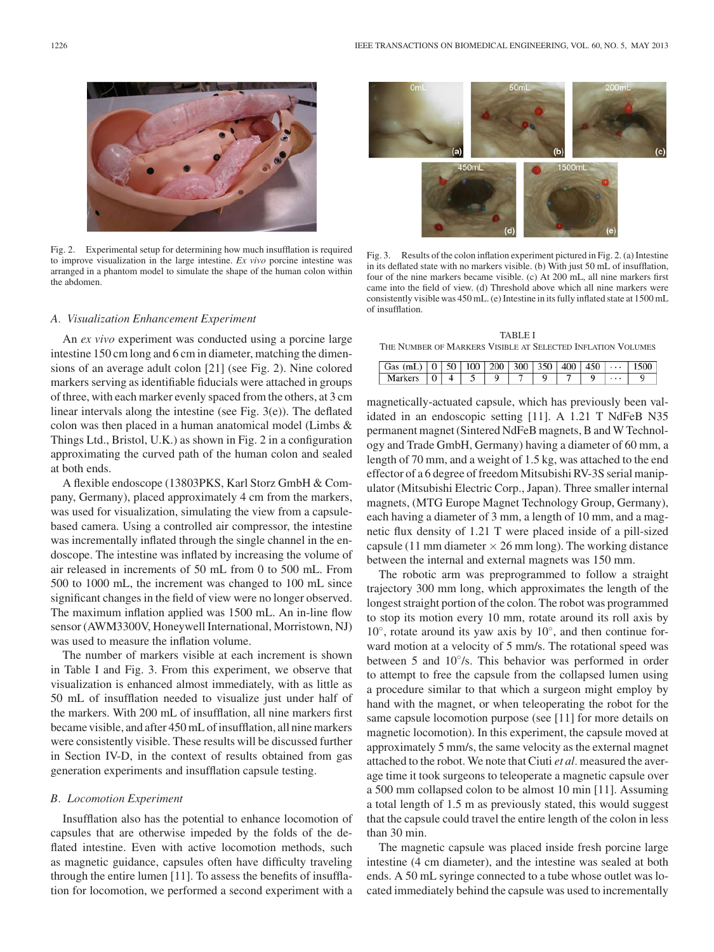

Fig. 2. Experimental setup for determining how much insufflation is required to improve visualization in the large intestine. *Ex vivo* porcine intestine was arranged in a phantom model to simulate the shape of the human colon within the abdomen.

## *A. Visualization Enhancement Experiment*

An *ex vivo* experiment was conducted using a porcine large intestine 150 cm long and 6 cm in diameter, matching the dimensions of an average adult colon [21] (see Fig. 2). Nine colored markers serving as identifiable fiducials were attached in groups of three, with each marker evenly spaced from the others, at 3 cm linear intervals along the intestine (see Fig. 3(e)). The deflated colon was then placed in a human anatomical model (Limbs & Things Ltd., Bristol, U.K.) as shown in Fig. 2 in a configuration approximating the curved path of the human colon and sealed at both ends.

A flexible endoscope (13803PKS, Karl Storz GmbH & Company, Germany), placed approximately 4 cm from the markers, was used for visualization, simulating the view from a capsulebased camera. Using a controlled air compressor, the intestine was incrementally inflated through the single channel in the endoscope. The intestine was inflated by increasing the volume of air released in increments of 50 mL from 0 to 500 mL. From 500 to 1000 mL, the increment was changed to 100 mL since significant changes in the field of view were no longer observed. The maximum inflation applied was 1500 mL. An in-line flow sensor (AWM3300V, Honeywell International, Morristown, NJ) was used to measure the inflation volume.

The number of markers visible at each increment is shown in Table I and Fig. 3. From this experiment, we observe that visualization is enhanced almost immediately, with as little as 50 mL of insufflation needed to visualize just under half of the markers. With 200 mL of insufflation, all nine markers first became visible, and after 450 mL of insufflation, all nine markers were consistently visible. These results will be discussed further in Section IV-D, in the context of results obtained from gas generation experiments and insufflation capsule testing.

### *B. Locomotion Experiment*

Insufflation also has the potential to enhance locomotion of capsules that are otherwise impeded by the folds of the deflated intestine. Even with active locomotion methods, such as magnetic guidance, capsules often have difficulty traveling through the entire lumen [11]. To assess the benefits of insufflation for locomotion, we performed a second experiment with a



Fig. 3. Results of the colon inflation experiment pictured in Fig. 2. (a) Intestine in its deflated state with no markers visible. (b) With just 50 mL of insufflation, four of the nine markers became visible. (c) At 200 mL, all nine markers first came into the field of view. (d) Threshold above which all nine markers were consistently visible was 450 mL. (e) Intestine in its fully inflated state at 1500 mL of insufflation.

TABLE I THE NUMBER OF MARKERS VISIBLE AT SELECTED INFLATION VOLUMES

| Gas (mL) $\vert 0 \vert 50 \vert 100 \vert 200 \vert 300 \vert 350 \vert 400 \vert 450 \vert \cdots$ 1500 |  |  |  |  |  |
|-----------------------------------------------------------------------------------------------------------|--|--|--|--|--|
| Markers 0 4 5 9 7                                                                                         |  |  |  |  |  |

magnetically-actuated capsule, which has previously been validated in an endoscopic setting [11]. A 1.21 T NdFeB N35 permanent magnet (Sintered NdFeB magnets, B and W Technology and Trade GmbH, Germany) having a diameter of 60 mm, a length of 70 mm, and a weight of 1.5 kg, was attached to the end effector of a 6 degree of freedom Mitsubishi RV-3S serial manipulator (Mitsubishi Electric Corp., Japan). Three smaller internal magnets, (MTG Europe Magnet Technology Group, Germany), each having a diameter of 3 mm, a length of 10 mm, and a magnetic flux density of 1.21 T were placed inside of a pill-sized capsule (11 mm diameter  $\times$  26 mm long). The working distance between the internal and external magnets was 150 mm.

The robotic arm was preprogrammed to follow a straight trajectory 300 mm long, which approximates the length of the longest straight portion of the colon. The robot was programmed to stop its motion every 10 mm, rotate around its roll axis by 10°, rotate around its yaw axis by 10°, and then continue forward motion at a velocity of 5 mm/s. The rotational speed was between 5 and 10°/s. This behavior was performed in order to attempt to free the capsule from the collapsed lumen using a procedure similar to that which a surgeon might employ by hand with the magnet, or when teleoperating the robot for the same capsule locomotion purpose (see [11] for more details on magnetic locomotion). In this experiment, the capsule moved at approximately 5 mm/s, the same velocity as the external magnet attached to the robot. We note that Ciuti *et al.* measured the average time it took surgeons to teleoperate a magnetic capsule over a 500 mm collapsed colon to be almost 10 min [11]. Assuming a total length of 1.5 m as previously stated, this would suggest that the capsule could travel the entire length of the colon in less than 30 min.

The magnetic capsule was placed inside fresh porcine large intestine (4 cm diameter), and the intestine was sealed at both ends. A 50 mL syringe connected to a tube whose outlet was located immediately behind the capsule was used to incrementally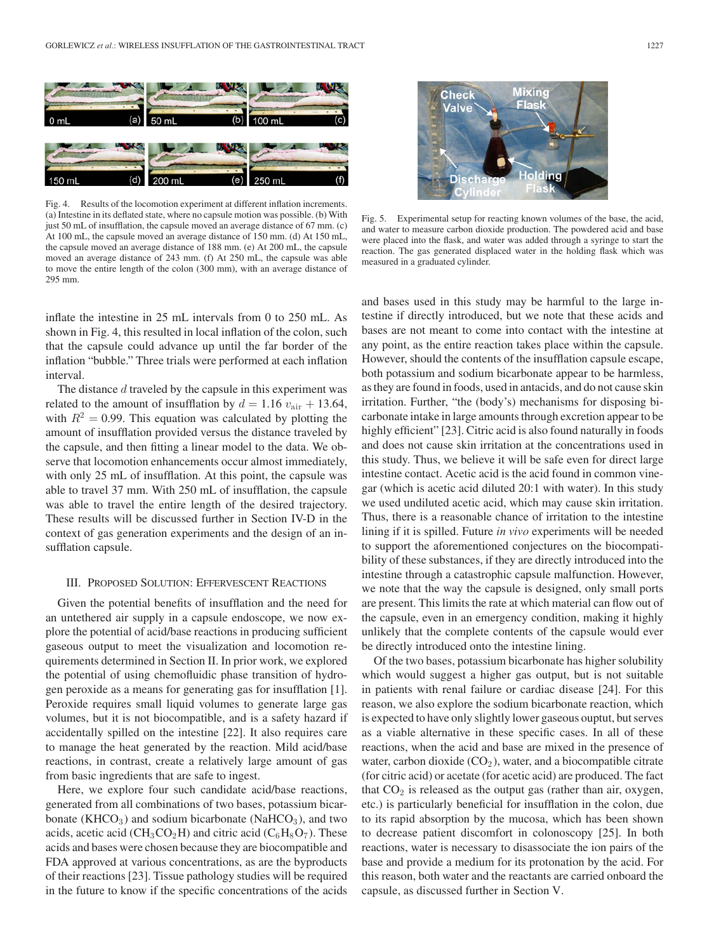

Fig. 4. Results of the locomotion experiment at different inflation increments. (a) Intestine in its deflated state, where no capsule motion was possible. (b) With just 50 mL of insufflation, the capsule moved an average distance of 67 mm. (c) At 100 mL, the capsule moved an average distance of 150 mm. (d) At 150 mL, the capsule moved an average distance of 188 mm. (e) At 200 mL, the capsule moved an average distance of 243 mm. (f) At 250 mL, the capsule was able to move the entire length of the colon (300 mm), with an average distance of 295 mm.

inflate the intestine in 25 mL intervals from 0 to 250 mL. As shown in Fig. 4, this resulted in local inflation of the colon, such that the capsule could advance up until the far border of the inflation "bubble." Three trials were performed at each inflation interval.

The distance d traveled by the capsule in this experiment was related to the amount of insufflation by  $d = 1.16 v_{\text{air}} + 13.64$ , with  $R^2 = 0.99$ . This equation was calculated by plotting the amount of insufflation provided versus the distance traveled by the capsule, and then fitting a linear model to the data. We observe that locomotion enhancements occur almost immediately, with only 25 mL of insufflation. At this point, the capsule was able to travel 37 mm. With 250 mL of insufflation, the capsule was able to travel the entire length of the desired trajectory. These results will be discussed further in Section IV-D in the context of gas generation experiments and the design of an insufflation capsule.

## III. PROPOSED SOLUTION: EFFERVESCENT REACTIONS

Given the potential benefits of insufflation and the need for an untethered air supply in a capsule endoscope, we now explore the potential of acid/base reactions in producing sufficient gaseous output to meet the visualization and locomotion requirements determined in Section II. In prior work, we explored the potential of using chemofluidic phase transition of hydrogen peroxide as a means for generating gas for insufflation [1]. Peroxide requires small liquid volumes to generate large gas volumes, but it is not biocompatible, and is a safety hazard if accidentally spilled on the intestine [22]. It also requires care to manage the heat generated by the reaction. Mild acid/base reactions, in contrast, create a relatively large amount of gas from basic ingredients that are safe to ingest.

Here, we explore four such candidate acid/base reactions, generated from all combinations of two bases, potassium bicarbonate (KHCO<sub>3</sub>) and sodium bicarbonate (NaHCO<sub>3</sub>), and two acids, acetic acid (CH<sub>3</sub>CO<sub>2</sub>H) and citric acid (C<sub>6</sub>H<sub>8</sub>O<sub>7</sub>). These acids and bases were chosen because they are biocompatible and FDA approved at various concentrations, as are the byproducts of their reactions [23]. Tissue pathology studies will be required in the future to know if the specific concentrations of the acids



Fig. 5. Experimental setup for reacting known volumes of the base, the acid, and water to measure carbon dioxide production. The powdered acid and base were placed into the flask, and water was added through a syringe to start the reaction. The gas generated displaced water in the holding flask which was measured in a graduated cylinder.

and bases used in this study may be harmful to the large intestine if directly introduced, but we note that these acids and bases are not meant to come into contact with the intestine at any point, as the entire reaction takes place within the capsule. However, should the contents of the insufflation capsule escape, both potassium and sodium bicarbonate appear to be harmless, as they are found in foods, used in antacids, and do not cause skin irritation. Further, "the (body's) mechanisms for disposing bicarbonate intake in large amounts through excretion appear to be highly efficient" [23]. Citric acid is also found naturally in foods and does not cause skin irritation at the concentrations used in this study. Thus, we believe it will be safe even for direct large intestine contact. Acetic acid is the acid found in common vinegar (which is acetic acid diluted 20:1 with water). In this study we used undiluted acetic acid, which may cause skin irritation. Thus, there is a reasonable chance of irritation to the intestine lining if it is spilled. Future *in vivo* experiments will be needed to support the aforementioned conjectures on the biocompatibility of these substances, if they are directly introduced into the intestine through a catastrophic capsule malfunction. However, we note that the way the capsule is designed, only small ports are present. This limits the rate at which material can flow out of the capsule, even in an emergency condition, making it highly unlikely that the complete contents of the capsule would ever be directly introduced onto the intestine lining.

Of the two bases, potassium bicarbonate has higher solubility which would suggest a higher gas output, but is not suitable in patients with renal failure or cardiac disease [24]. For this reason, we also explore the sodium bicarbonate reaction, which is expected to have only slightly lower gaseous ouptut, but serves as a viable alternative in these specific cases. In all of these reactions, when the acid and base are mixed in the presence of water, carbon dioxide  $(CO<sub>2</sub>)$ , water, and a biocompatible citrate (for citric acid) or acetate (for acetic acid) are produced. The fact that  $CO<sub>2</sub>$  is released as the output gas (rather than air, oxygen, etc.) is particularly beneficial for insufflation in the colon, due to its rapid absorption by the mucosa, which has been shown to decrease patient discomfort in colonoscopy [25]. In both reactions, water is necessary to disassociate the ion pairs of the base and provide a medium for its protonation by the acid. For this reason, both water and the reactants are carried onboard the capsule, as discussed further in Section V.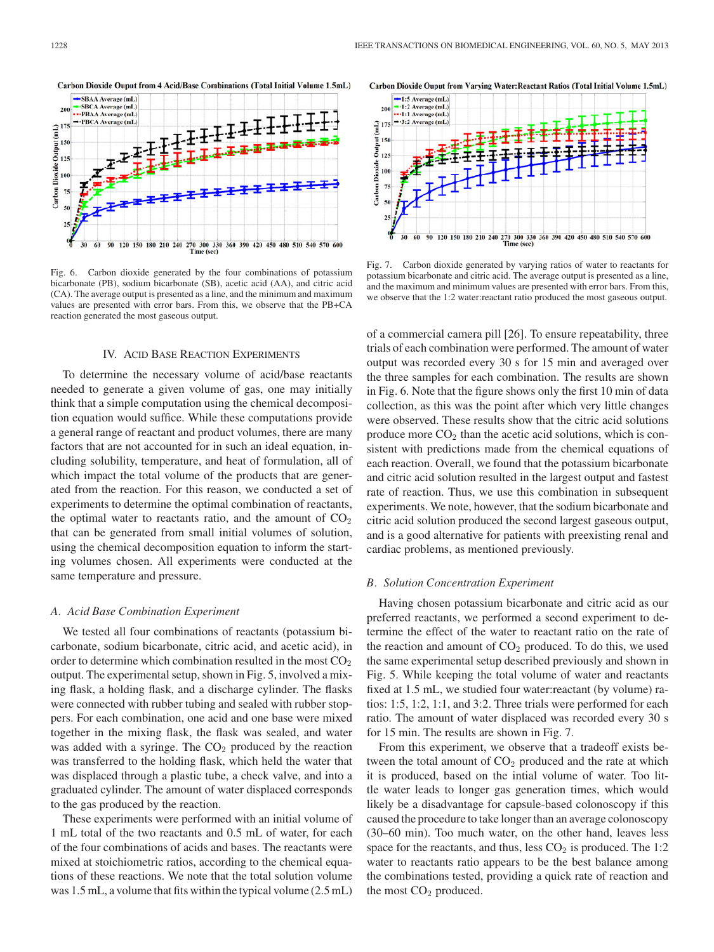

Fig. 6. Carbon dioxide generated by the four combinations of potassium bicarbonate (PB), sodium bicarbonate (SB), acetic acid (AA), and citric acid (CA). The average output is presented as a line, and the minimum and maximum values are presented with error bars. From this, we observe that the PB+CA reaction generated the most gaseous output.

### IV. ACID BASE REACTION EXPERIMENTS

To determine the necessary volume of acid/base reactants needed to generate a given volume of gas, one may initially think that a simple computation using the chemical decomposition equation would suffice. While these computations provide a general range of reactant and product volumes, there are many factors that are not accounted for in such an ideal equation, including solubility, temperature, and heat of formulation, all of which impact the total volume of the products that are generated from the reaction. For this reason, we conducted a set of experiments to determine the optimal combination of reactants, the optimal water to reactants ratio, and the amount of  $CO<sub>2</sub>$ that can be generated from small initial volumes of solution, using the chemical decomposition equation to inform the starting volumes chosen. All experiments were conducted at the same temperature and pressure.

## *A. Acid Base Combination Experiment*

We tested all four combinations of reactants (potassium bicarbonate, sodium bicarbonate, citric acid, and acetic acid), in order to determine which combination resulted in the most  $CO<sub>2</sub>$ output. The experimental setup, shown in Fig. 5, involved a mixing flask, a holding flask, and a discharge cylinder. The flasks were connected with rubber tubing and sealed with rubber stoppers. For each combination, one acid and one base were mixed together in the mixing flask, the flask was sealed, and water was added with a syringe. The  $CO<sub>2</sub>$  produced by the reaction was transferred to the holding flask, which held the water that was displaced through a plastic tube, a check valve, and into a graduated cylinder. The amount of water displaced corresponds to the gas produced by the reaction.

These experiments were performed with an initial volume of 1 mL total of the two reactants and 0.5 mL of water, for each of the four combinations of acids and bases. The reactants were mixed at stoichiometric ratios, according to the chemical equations of these reactions. We note that the total solution volume was 1.5 mL, a volume that fits within the typical volume (2.5 mL)

Carbon Dioxide Ouput from Varving Water: Reactant Ratios (Total Initial Volume 1.5mL)



Fig. 7. Carbon dioxide generated by varying ratios of water to reactants for potassium bicarbonate and citric acid. The average output is presented as a line, and the maximum and minimum values are presented with error bars. From this, we observe that the 1:2 water:reactant ratio produced the most gaseous output.

of a commercial camera pill [26]. To ensure repeatability, three trials of each combination were performed. The amount of water output was recorded every 30 s for 15 min and averaged over the three samples for each combination. The results are shown in Fig. 6. Note that the figure shows only the first 10 min of data collection, as this was the point after which very little changes were observed. These results show that the citric acid solutions produce more  $CO<sub>2</sub>$  than the acetic acid solutions, which is consistent with predictions made from the chemical equations of each reaction. Overall, we found that the potassium bicarbonate and citric acid solution resulted in the largest output and fastest rate of reaction. Thus, we use this combination in subsequent experiments. We note, however, that the sodium bicarbonate and citric acid solution produced the second largest gaseous output, and is a good alternative for patients with preexisting renal and cardiac problems, as mentioned previously.

## *B. Solution Concentration Experiment*

Having chosen potassium bicarbonate and citric acid as our preferred reactants, we performed a second experiment to determine the effect of the water to reactant ratio on the rate of the reaction and amount of  $CO<sub>2</sub>$  produced. To do this, we used the same experimental setup described previously and shown in Fig. 5. While keeping the total volume of water and reactants fixed at 1.5 mL, we studied four water:reactant (by volume) ratios: 1:5, 1:2, 1:1, and 3:2. Three trials were performed for each ratio. The amount of water displaced was recorded every 30 s for 15 min. The results are shown in Fig. 7.

From this experiment, we observe that a tradeoff exists between the total amount of  $CO<sub>2</sub>$  produced and the rate at which it is produced, based on the intial volume of water. Too little water leads to longer gas generation times, which would likely be a disadvantage for capsule-based colonoscopy if this caused the procedure to take longer than an average colonoscopy (30–60 min). Too much water, on the other hand, leaves less space for the reactants, and thus, less  $CO<sub>2</sub>$  is produced. The 1:2 water to reactants ratio appears to be the best balance among the combinations tested, providing a quick rate of reaction and the most  $CO<sub>2</sub>$  produced.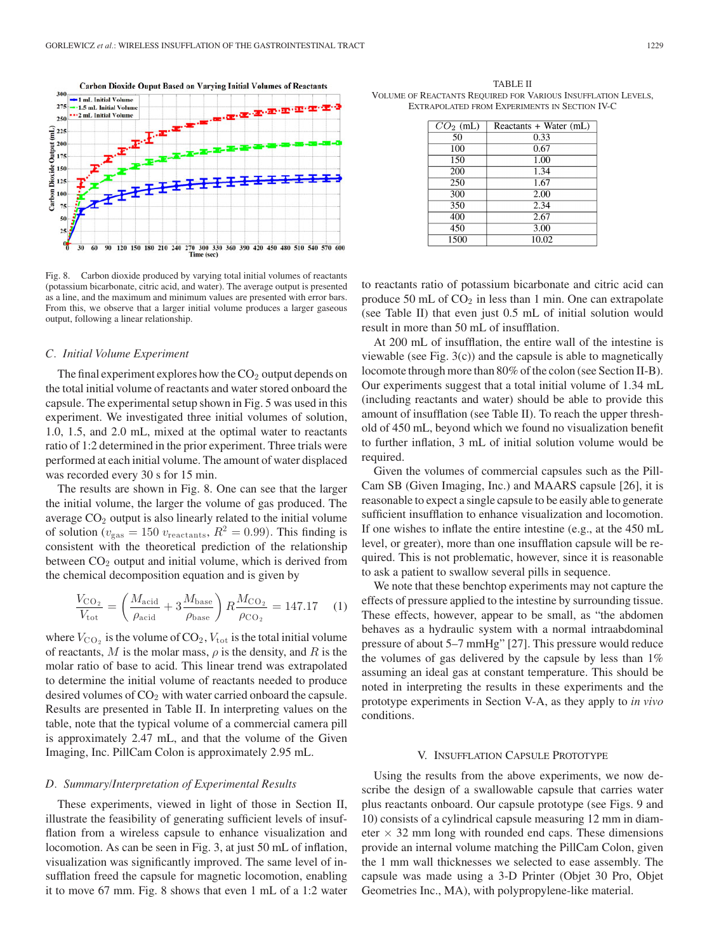

Fig. 8. Carbon dioxide produced by varying total initial volumes of reactants (potassium bicarbonate, citric acid, and water). The average output is presented as a line, and the maximum and minimum values are presented with error bars. From this, we observe that a larger initial volume produces a larger gaseous output, following a linear relationship.

## *C. Initial Volume Experiment*

The final experiment explores how the  $CO<sub>2</sub>$  output depends on the total initial volume of reactants and water stored onboard the capsule. The experimental setup shown in Fig. 5 was used in this experiment. We investigated three initial volumes of solution, 1.0, 1.5, and 2.0 mL, mixed at the optimal water to reactants ratio of 1:2 determined in the prior experiment. Three trials were performed at each initial volume. The amount of water displaced was recorded every 30 s for 15 min.

The results are shown in Fig. 8. One can see that the larger the initial volume, the larger the volume of gas produced. The average  $CO<sub>2</sub>$  output is also linearly related to the initial volume of solution ( $v_{\text{gas}} = 150 v_{\text{reactants}}$ ,  $R^2 = 0.99$ ). This finding is consistent with the theoretical prediction of the relationship between  $CO<sub>2</sub>$  output and initial volume, which is derived from the chemical decomposition equation and is given by

$$
\frac{V_{\text{CO}_2}}{V_{\text{tot}}} = \left(\frac{M_{\text{acid}}}{\rho_{\text{acid}}} + 3\frac{M_{\text{base}}}{\rho_{\text{base}}}\right) R \frac{M_{\text{CO}_2}}{\rho_{\text{CO}_2}} = 147.17 \quad (1)
$$

where  $V_{\text{CO}_2}$  is the volume of  $\text{CO}_2$ ,  $V_{\text{tot}}$  is the total initial volume of reactants, M is the molar mass,  $\rho$  is the density, and R is the molar ratio of base to acid. This linear trend was extrapolated to determine the initial volume of reactants needed to produce desired volumes of  $CO<sub>2</sub>$  with water carried onboard the capsule. Results are presented in Table II. In interpreting values on the table, note that the typical volume of a commercial camera pill is approximately 2.47 mL, and that the volume of the Given Imaging, Inc. PillCam Colon is approximately 2.95 mL.

### *D. Summary/Interpretation of Experimental Results*

These experiments, viewed in light of those in Section II, illustrate the feasibility of generating sufficient levels of insufflation from a wireless capsule to enhance visualization and locomotion. As can be seen in Fig. 3, at just 50 mL of inflation, visualization was significantly improved. The same level of insufflation freed the capsule for magnetic locomotion, enabling it to move 67 mm. Fig. 8 shows that even 1 mL of a 1:2 water

TABLE II VOLUME OF REACTANTS REQUIRED FOR VARIOUS INSUFFLATION LEVELS, EXTRAPOLATED FROM EXPERIMENTS IN SECTION IV-C

| $CO2$ (mL) | Reactants + Water (mL) |
|------------|------------------------|
| 50         | 0.33                   |
| 100        | 0.67                   |
| 150        | 1.00                   |
| 200        | 1.34                   |
| 250        | 1.67                   |
| 300        | 2.00                   |
| 350        | 2.34                   |
| 400        | 2.67                   |
| 450        | 3.00                   |
| 1500       | 10.02                  |

to reactants ratio of potassium bicarbonate and citric acid can produce 50 mL of  $CO<sub>2</sub>$  in less than 1 min. One can extrapolate (see Table II) that even just 0.5 mL of initial solution would result in more than 50 mL of insufflation.

At 200 mL of insufflation, the entire wall of the intestine is viewable (see Fig. 3(c)) and the capsule is able to magnetically locomote through more than 80% of the colon (see Section II-B). Our experiments suggest that a total initial volume of 1.34 mL (including reactants and water) should be able to provide this amount of insufflation (see Table II). To reach the upper threshold of 450 mL, beyond which we found no visualization benefit to further inflation, 3 mL of initial solution volume would be required.

Given the volumes of commercial capsules such as the Pill-Cam SB (Given Imaging, Inc.) and MAARS capsule [26], it is reasonable to expect a single capsule to be easily able to generate sufficient insufflation to enhance visualization and locomotion. If one wishes to inflate the entire intestine (e.g., at the 450 mL level, or greater), more than one insufflation capsule will be required. This is not problematic, however, since it is reasonable to ask a patient to swallow several pills in sequence.

We note that these benchtop experiments may not capture the effects of pressure applied to the intestine by surrounding tissue. These effects, however, appear to be small, as "the abdomen behaves as a hydraulic system with a normal intraabdominal pressure of about 5–7 mmHg" [27]. This pressure would reduce the volumes of gas delivered by the capsule by less than 1% assuming an ideal gas at constant temperature. This should be noted in interpreting the results in these experiments and the prototype experiments in Section V-A, as they apply to *in vivo* conditions.

### V. INSUFFLATION CAPSULE PROTOTYPE

Using the results from the above experiments, we now describe the design of a swallowable capsule that carries water plus reactants onboard. Our capsule prototype (see Figs. 9 and 10) consists of a cylindrical capsule measuring 12 mm in diameter  $\times$  32 mm long with rounded end caps. These dimensions provide an internal volume matching the PillCam Colon, given the 1 mm wall thicknesses we selected to ease assembly. The capsule was made using a 3-D Printer (Objet 30 Pro, Objet Geometries Inc., MA), with polypropylene-like material.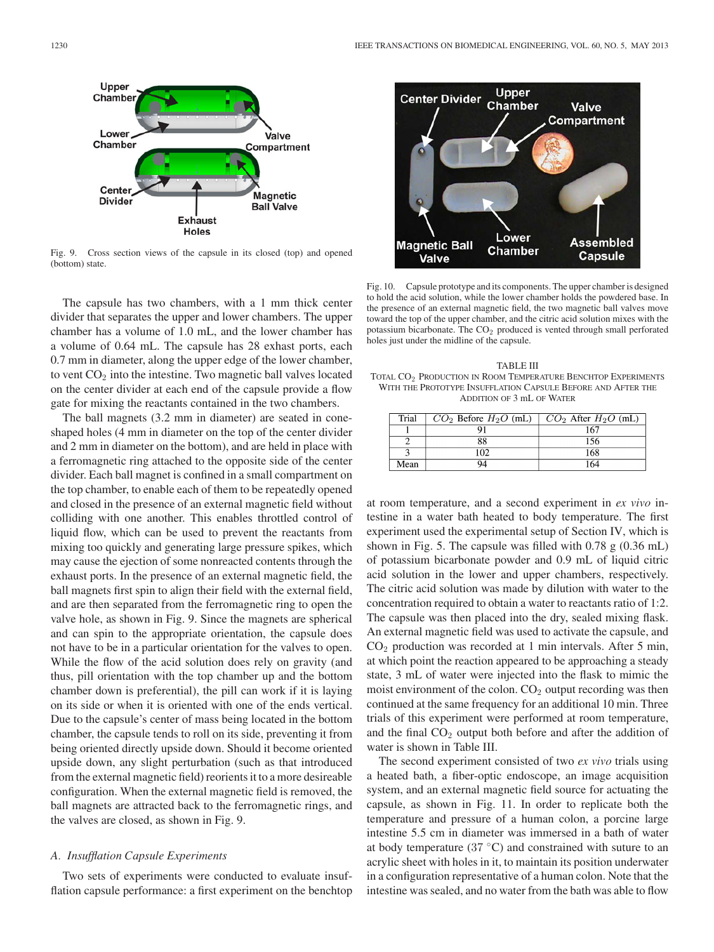

Fig. 9. Cross section views of the capsule in its closed (top) and opened (bottom) state.

The capsule has two chambers, with a 1 mm thick center divider that separates the upper and lower chambers. The upper chamber has a volume of 1.0 mL, and the lower chamber has a volume of 0.64 mL. The capsule has 28 exhast ports, each 0.7 mm in diameter, along the upper edge of the lower chamber, to vent  $CO<sub>2</sub>$  into the intestine. Two magnetic ball valves located on the center divider at each end of the capsule provide a flow gate for mixing the reactants contained in the two chambers.

The ball magnets (3.2 mm in diameter) are seated in coneshaped holes (4 mm in diameter on the top of the center divider and 2 mm in diameter on the bottom), and are held in place with a ferromagnetic ring attached to the opposite side of the center divider. Each ball magnet is confined in a small compartment on the top chamber, to enable each of them to be repeatedly opened and closed in the presence of an external magnetic field without colliding with one another. This enables throttled control of liquid flow, which can be used to prevent the reactants from mixing too quickly and generating large pressure spikes, which may cause the ejection of some nonreacted contents through the exhaust ports. In the presence of an external magnetic field, the ball magnets first spin to align their field with the external field, and are then separated from the ferromagnetic ring to open the valve hole, as shown in Fig. 9. Since the magnets are spherical and can spin to the appropriate orientation, the capsule does not have to be in a particular orientation for the valves to open. While the flow of the acid solution does rely on gravity (and thus, pill orientation with the top chamber up and the bottom chamber down is preferential), the pill can work if it is laying on its side or when it is oriented with one of the ends vertical. Due to the capsule's center of mass being located in the bottom chamber, the capsule tends to roll on its side, preventing it from being oriented directly upside down. Should it become oriented upside down, any slight perturbation (such as that introduced from the external magnetic field) reorients it to a more desireable configuration. When the external magnetic field is removed, the ball magnets are attracted back to the ferromagnetic rings, and the valves are closed, as shown in Fig. 9.

## *A. Insufflation Capsule Experiments*

Two sets of experiments were conducted to evaluate insufflation capsule performance: a first experiment on the benchtop



Fig. 10. Capsule prototype and its components. The upper chamber is designed to hold the acid solution, while the lower chamber holds the powdered base. In the presence of an external magnetic field, the two magnetic ball valves move toward the top of the upper chamber, and the citric acid solution mixes with the potassium bicarbonate. The CO<sub>2</sub> produced is vented through small perforated holes just under the midline of the capsule.

TABLE III TOTAL CO<sup>2</sup> PRODUCTION IN ROOM TEMPERATURE BENCHTOP EXPERIMENTS WITH THE PROTOTYPE INSUFFLATION CAPSULE BEFORE AND AFTER THE ADDITION OF 3 mL OF WATER

| Trial | $\mid CO_2$ Before $H_2O$ (mL) $\mid CO_2$ After $H_2O$ (mL) |     |
|-------|--------------------------------------------------------------|-----|
|       |                                                              | 167 |
|       |                                                              | 156 |
|       | ၊ ဂ၇                                                         | 168 |
| Mean  |                                                              |     |

at room temperature, and a second experiment in *ex vivo* intestine in a water bath heated to body temperature. The first experiment used the experimental setup of Section IV, which is shown in Fig. 5. The capsule was filled with 0.78 g (0.36 mL) of potassium bicarbonate powder and 0.9 mL of liquid citric acid solution in the lower and upper chambers, respectively. The citric acid solution was made by dilution with water to the concentration required to obtain a water to reactants ratio of 1:2. The capsule was then placed into the dry, sealed mixing flask. An external magnetic field was used to activate the capsule, and  $CO<sub>2</sub>$  production was recorded at 1 min intervals. After 5 min, at which point the reaction appeared to be approaching a steady state, 3 mL of water were injected into the flask to mimic the moist environment of the colon.  $CO<sub>2</sub>$  output recording was then continued at the same frequency for an additional 10 min. Three trials of this experiment were performed at room temperature, and the final  $CO<sub>2</sub>$  output both before and after the addition of water is shown in Table III.

The second experiment consisted of two *ex vivo* trials using a heated bath, a fiber-optic endoscope, an image acquisition system, and an external magnetic field source for actuating the capsule, as shown in Fig. 11. In order to replicate both the temperature and pressure of a human colon, a porcine large intestine 5.5 cm in diameter was immersed in a bath of water at body temperature ( $37 \text{ °C}$ ) and constrained with suture to an acrylic sheet with holes in it, to maintain its position underwater in a configuration representative of a human colon. Note that the intestine was sealed, and no water from the bath was able to flow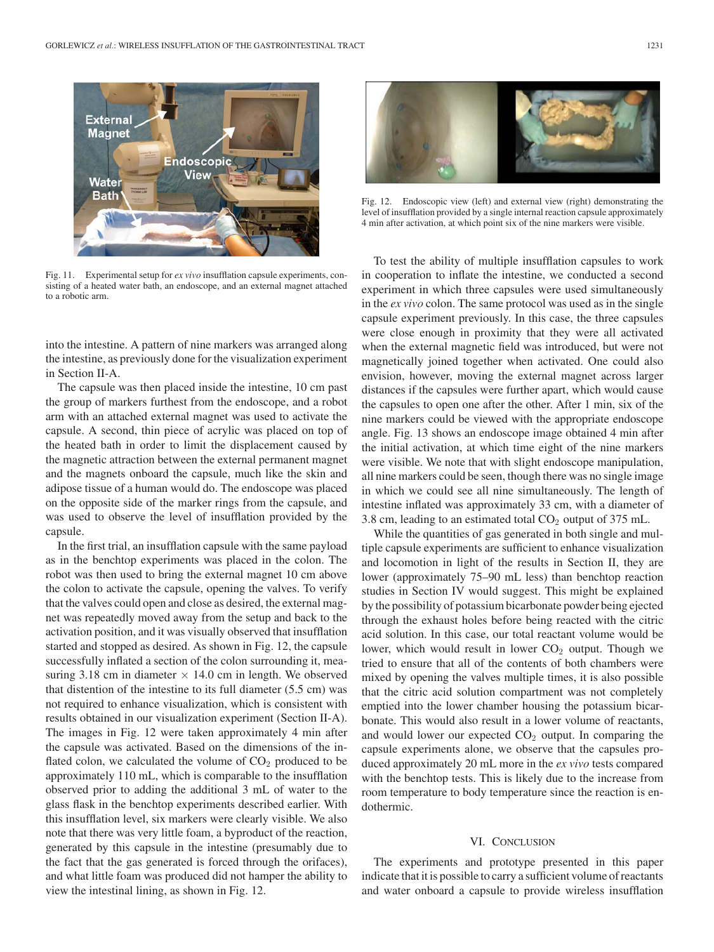

Fig. 11. Experimental setup for *ex vivo* insufflation capsule experiments, consisting of a heated water bath, an endoscope, and an external magnet attached to a robotic arm.

into the intestine. A pattern of nine markers was arranged along the intestine, as previously done for the visualization experiment in Section II-A.

The capsule was then placed inside the intestine, 10 cm past the group of markers furthest from the endoscope, and a robot arm with an attached external magnet was used to activate the capsule. A second, thin piece of acrylic was placed on top of the heated bath in order to limit the displacement caused by the magnetic attraction between the external permanent magnet and the magnets onboard the capsule, much like the skin and adipose tissue of a human would do. The endoscope was placed on the opposite side of the marker rings from the capsule, and was used to observe the level of insufflation provided by the capsule.

In the first trial, an insufflation capsule with the same payload as in the benchtop experiments was placed in the colon. The robot was then used to bring the external magnet 10 cm above the colon to activate the capsule, opening the valves. To verify that the valves could open and close as desired, the external magnet was repeatedly moved away from the setup and back to the activation position, and it was visually observed that insufflation started and stopped as desired. As shown in Fig. 12, the capsule successfully inflated a section of the colon surrounding it, measuring 3.18 cm in diameter  $\times$  14.0 cm in length. We observed that distention of the intestine to its full diameter (5.5 cm) was not required to enhance visualization, which is consistent with results obtained in our visualization experiment (Section II-A). The images in Fig. 12 were taken approximately 4 min after the capsule was activated. Based on the dimensions of the inflated colon, we calculated the volume of  $CO<sub>2</sub>$  produced to be approximately 110 mL, which is comparable to the insufflation observed prior to adding the additional 3 mL of water to the glass flask in the benchtop experiments described earlier. With this insufflation level, six markers were clearly visible. We also note that there was very little foam, a byproduct of the reaction, generated by this capsule in the intestine (presumably due to the fact that the gas generated is forced through the orifaces), and what little foam was produced did not hamper the ability to view the intestinal lining, as shown in Fig. 12.



Fig. 12. Endoscopic view (left) and external view (right) demonstrating the level of insufflation provided by a single internal reaction capsule approximately 4 min after activation, at which point six of the nine markers were visible.

To test the ability of multiple insufflation capsules to work in cooperation to inflate the intestine, we conducted a second experiment in which three capsules were used simultaneously in the *ex vivo* colon. The same protocol was used as in the single capsule experiment previously. In this case, the three capsules were close enough in proximity that they were all activated when the external magnetic field was introduced, but were not magnetically joined together when activated. One could also envision, however, moving the external magnet across larger distances if the capsules were further apart, which would cause the capsules to open one after the other. After 1 min, six of the nine markers could be viewed with the appropriate endoscope angle. Fig. 13 shows an endoscope image obtained 4 min after the initial activation, at which time eight of the nine markers were visible. We note that with slight endoscope manipulation, all nine markers could be seen, though there was no single image in which we could see all nine simultaneously. The length of intestine inflated was approximately 33 cm, with a diameter of 3.8 cm, leading to an estimated total  $CO<sub>2</sub>$  output of 375 mL.

While the quantities of gas generated in both single and multiple capsule experiments are sufficient to enhance visualization and locomotion in light of the results in Section II, they are lower (approximately 75–90 mL less) than benchtop reaction studies in Section IV would suggest. This might be explained by the possibility of potassium bicarbonate powder being ejected through the exhaust holes before being reacted with the citric acid solution. In this case, our total reactant volume would be lower, which would result in lower  $CO<sub>2</sub>$  output. Though we tried to ensure that all of the contents of both chambers were mixed by opening the valves multiple times, it is also possible that the citric acid solution compartment was not completely emptied into the lower chamber housing the potassium bicarbonate. This would also result in a lower volume of reactants, and would lower our expected  $CO<sub>2</sub>$  output. In comparing the capsule experiments alone, we observe that the capsules produced approximately 20 mL more in the *ex vivo* tests compared with the benchtop tests. This is likely due to the increase from room temperature to body temperature since the reaction is endothermic.

## VI. CONCLUSION

The experiments and prototype presented in this paper indicate that it is possible to carry a sufficient volume of reactants and water onboard a capsule to provide wireless insufflation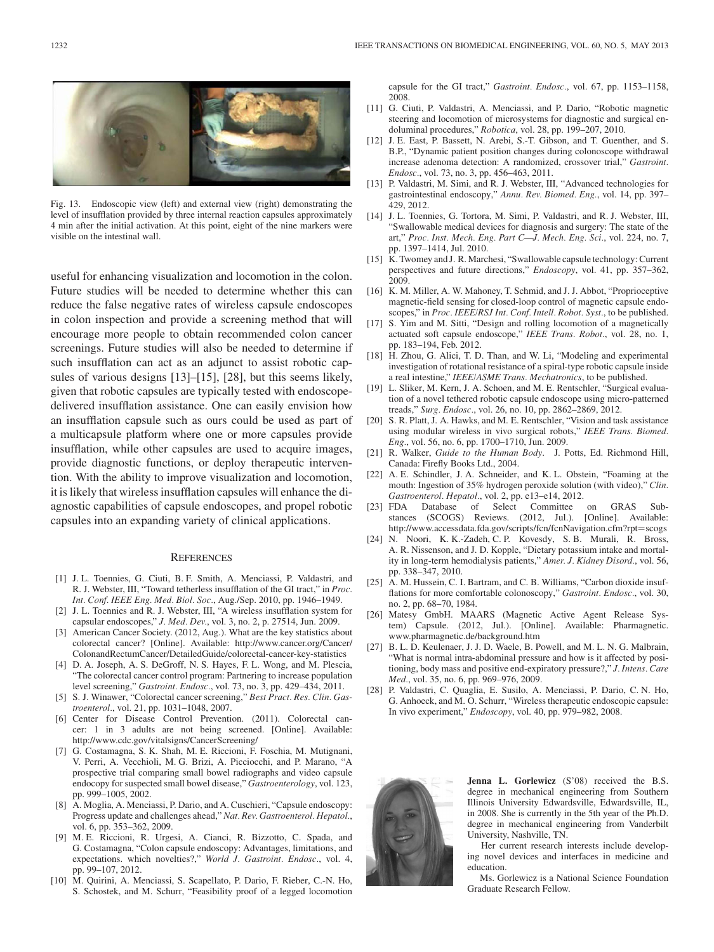

Fig. 13. Endoscopic view (left) and external view (right) demonstrating the level of insufflation provided by three internal reaction capsules approximately 4 min after the initial activation. At this point, eight of the nine markers were visible on the intestinal wall.

useful for enhancing visualization and locomotion in the colon. Future studies will be needed to determine whether this can reduce the false negative rates of wireless capsule endoscopes in colon inspection and provide a screening method that will encourage more people to obtain recommended colon cancer screenings. Future studies will also be needed to determine if such insufflation can act as an adjunct to assist robotic capsules of various designs [13]–[15], [28], but this seems likely, given that robotic capsules are typically tested with endoscopedelivered insufflation assistance. One can easily envision how an insufflation capsule such as ours could be used as part of a multicapsule platform where one or more capsules provide insufflation, while other capsules are used to acquire images, provide diagnostic functions, or deploy therapeutic intervention. With the ability to improve visualization and locomotion, it is likely that wireless insufflation capsules will enhance the diagnostic capabilities of capsule endoscopes, and propel robotic capsules into an expanding variety of clinical applications.

#### **REFERENCES**

- [1] J. L. Toennies, G. Ciuti, B. F. Smith, A. Menciassi, P. Valdastri, and R. J. Webster, III, "Toward tetherless insufflation of the GI tract," in *Proc. Int. Conf. IEEE Eng. Med. Biol. Soc.*, Aug./Sep. 2010, pp. 1946–1949.
- [2] J. L. Toennies and R. J. Webster, III, "A wireless insufflation system for capsular endoscopes," *J. Med. Dev.*, vol. 3, no. 2, p. 27514, Jun. 2009.
- [3] American Cancer Society. (2012, Aug.). What are the key statistics about colorectal cancer? [Online]. Available: http://www.cancer.org/Cancer/ ColonandRectumCancer/DetailedGuide/colorectal-cancer-key-statistics
- [4] D. A. Joseph, A. S. DeGroff, N. S. Hayes, F. L. Wong, and M. Plescia, "The colorectal cancer control program: Partnering to increase population level screening," *Gastroint. Endosc.*, vol. 73, no. 3, pp. 429–434, 2011.
- [5] S. J. Winawer, "Colorectal cancer screening," *Best Pract. Res. Clin. Gastroenterol.*, vol. 21, pp. 1031–1048, 2007.
- [6] Center for Disease Control Prevention. (2011). Colorectal cancer: 1 in 3 adults are not being screened. [Online]. Available: http://www.cdc.gov/vitalsigns/CancerScreening/
- [7] G. Costamagna, S. K. Shah, M. E. Riccioni, F. Foschia, M. Mutignani, V. Perri, A. Vecchioli, M. G. Brizi, A. Picciocchi, and P. Marano, "A prospective trial comparing small bowel radiographs and video capsule endocopy for suspected small bowel disease," *Gastroenterology*, vol. 123, pp. 999–1005, 2002.
- A. Moglia, A. Menciassi, P. Dario, and A. Cuschieri, "Capsule endoscopy: Progress update and challenges ahead," *Nat. Rev. Gastroenterol. Hepatol.*, vol. 6, pp. 353–362, 2009.
- [9] M. E. Riccioni, R. Urgesi, A. Cianci, R. Bizzotto, C. Spada, and G. Costamagna, "Colon capsule endoscopy: Advantages, limitations, and expectations. which novelties?," *World J. Gastroint. Endosc.*, vol. 4, pp. 99–107, 2012.
- [10] M. Quirini, A. Menciassi, S. Scapellato, P. Dario, F. Rieber, C.-N. Ho, S. Schostek, and M. Schurr, "Feasibility proof of a legged locomotion

capsule for the GI tract," *Gastroint. Endosc.*, vol. 67, pp. 1153–1158, 2008.

- [11] G. Ciuti, P. Valdastri, A. Menciassi, and P. Dario, "Robotic magnetic steering and locomotion of microsystems for diagnostic and surgical endoluminal procedures," *Robotica*, vol. 28, pp. 199–207, 2010.
- [12] J. E. East, P. Bassett, N. Arebi, S.-T. Gibson, and T. Guenther, and S. B.P., "Dynamic patient position changes during colonoscope withdrawal increase adenoma detection: A randomized, crossover trial," *Gastroint. Endosc.*, vol. 73, no. 3, pp. 456–463, 2011.
- [13] P. Valdastri, M. Simi, and R. J. Webster, III, "Advanced technologies for gastrointestinal endoscopy," *Annu. Rev. Biomed. Eng.*, vol. 14, pp. 397– 429, 2012.
- [14] J. L. Toennies, G. Tortora, M. Simi, P. Valdastri, and R. J. Webster, III, "Swallowable medical devices for diagnosis and surgery: The state of the art," *Proc. Inst. Mech. Eng. Part C—J. Mech. Eng. Sci.*, vol. 224, no. 7, pp. 1397–1414, Jul. 2010.
- [15] K. Twomey and J. R. Marchesi, "Swallowable capsule technology: Current perspectives and future directions," *Endoscopy*, vol. 41, pp. 357–362, 2009.
- [16] K. M. Miller, A. W. Mahoney, T. Schmid, and J. J. Abbot, "Proprioceptive magnetic-field sensing for closed-loop control of magnetic capsule endoscopes," in *Proc. IEEE/RSJ Int. Conf. Intell. Robot. Syst.*, to be published.
- [17] S. Yim and M. Sitti, "Design and rolling locomotion of a magnetically actuated soft capsule endoscope," *IEEE Trans. Robot.*, vol. 28, no. 1, pp. 183–194, Feb. 2012.
- [18] H. Zhou, G. Alici, T. D. Than, and W. Li, "Modeling and experimental investigation of rotational resistance of a spiral-type robotic capsule inside a real intestine," *IEEE/ASME Trans. Mechatronics*, to be published.
- [19] L. Sliker, M. Kern, J. A. Schoen, and M. E. Rentschler, "Surgical evaluation of a novel tethered robotic capsule endoscope using micro-patterned treads," *Surg. Endosc.*, vol. 26, no. 10, pp. 2862–2869, 2012.
- [20] S. R. Platt, J. A. Hawks, and M. E. Rentschler, "Vision and task assistance using modular wireless in vivo surgical robots," *IEEE Trans. Biomed. Eng.*, vol. 56, no. 6, pp. 1700–1710, Jun. 2009.
- [21] R. Walker, *Guide to the Human Body*. J. Potts, Ed. Richmond Hill, Canada: Firefly Books Ltd., 2004.
- [22] A. E. Schindler, J. A. Schneider, and K. L. Obstein, "Foaming at the mouth: Ingestion of 35% hydrogen peroxide solution (with video)," *Clin. Gastroenterol. Hepatol.*, vol. 2, pp. e13–e14, 2012.
- [23] FDA Database of Select Committee on GRAS Substances (SCOGS) Reviews. (2012, Jul.). [Online]. Available: http://www.accessdata.fda.gov/scripts/fcn/fcnNavigation.cfm?rpt=scogs
- [24] N. Noori, K. K.-Zadeh, C. P. Kovesdy, S. B. Murali, R. Bross, A. R. Nissenson, and J. D. Kopple, "Dietary potassium intake and mortality in long-term hemodialysis patients," *Amer. J. Kidney Disord.*, vol. 56, pp. 338–347, 2010.
- [25] A. M. Hussein, C. I. Bartram, and C. B. Williams, "Carbon dioxide insufflations for more comfortable colonoscopy," *Gastroint. Endosc.*, vol. 30, no. 2, pp. 68–70, 1984.
- [26] Matesy GmbH. MAARS (Magnetic Active Agent Release System) Capsule. (2012, Jul.). [Online]. Available: Pharmagnetic. www.pharmagnetic.de/background.htm
- [27] B. L. D. Keulenaer, J. J. D. Waele, B. Powell, and M. L. N. G. Malbrain, "What is normal intra-abdominal pressure and how is it affected by positioning, body mass and positive end-expiratory pressure?," *J. Intens. Care Med.*, vol. 35, no. 6, pp. 969–976, 2009.
- [28] P. Valdastri, C. Quaglia, E. Susilo, A. Menciassi, P. Dario, C. N. Ho, G. Anhoeck, and M. O. Schurr, "Wireless therapeutic endoscopic capsule: In vivo experiment," *Endoscopy*, vol. 40, pp. 979–982, 2008.



Jenna L. Gorlewicz (S'08) received the B.S. degree in mechanical engineering from Southern Illinois University Edwardsville, Edwardsville, IL, in 2008. She is currently in the 5th year of the Ph.D. degree in mechanical engineering from Vanderbilt University, Nashville, TN.

Her current research interests include developing novel devices and interfaces in medicine and education.

Ms. Gorlewicz is a National Science Foundation Graduate Research Fellow.